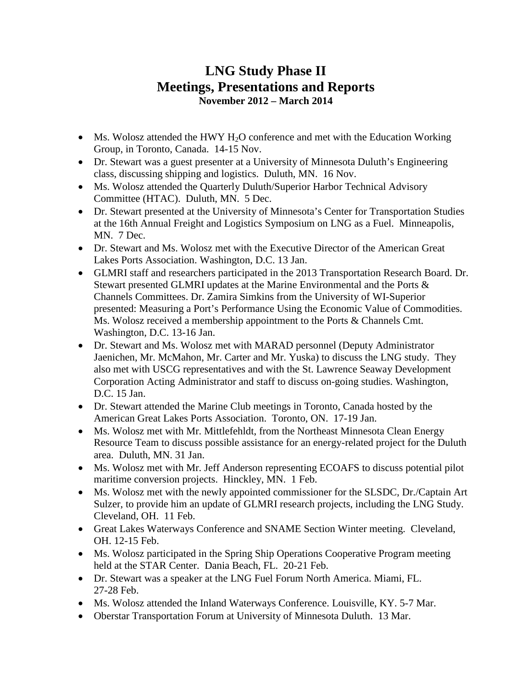## **LNG Study Phase II Meetings, Presentations and Reports November 2012 – March 2014**

- Ms. Wolosz attended the HWY  $H_2O$  conference and met with the Education Working Group, in Toronto, Canada. 14-15 Nov.
- Dr. Stewart was a guest presenter at a University of Minnesota Duluth's Engineering class, discussing shipping and logistics. Duluth, MN. 16 Nov.
- Ms. Wolosz attended the Quarterly Duluth/Superior Harbor Technical Advisory Committee (HTAC). Duluth, MN. 5 Dec.
- Dr. Stewart presented at the University of Minnesota's Center for Transportation Studies at the 16th Annual Freight and Logistics Symposium on LNG as a Fuel. Minneapolis, MN. 7 Dec.
- Dr. Stewart and Ms. Wolosz met with the Executive Director of the American Great Lakes Ports Association. Washington, D.C. 13 Jan.
- GLMRI staff and researchers participated in the 2013 Transportation Research Board. Dr. Stewart presented GLMRI updates at the Marine Environmental and the Ports & Channels Committees. Dr. Zamira Simkins from the University of WI-Superior presented: Measuring a Port's Performance Using the Economic Value of Commodities. Ms. Wolosz received a membership appointment to the Ports & Channels Cmt. Washington, D.C. 13-16 Jan.
- Dr. Stewart and Ms. Wolosz met with MARAD personnel (Deputy Administrator Jaenichen, Mr. McMahon, Mr. Carter and Mr. Yuska) to discuss the LNG study. They also met with USCG representatives and with the St. Lawrence Seaway Development Corporation Acting Administrator and staff to discuss on-going studies. Washington, D.C. 15 Jan.
- Dr. Stewart attended the Marine Club meetings in Toronto, Canada hosted by the American Great Lakes Ports Association. Toronto, ON. 17-19 Jan.
- Ms. Wolosz met with Mr. Mittlefehldt, from the Northeast Minnesota Clean Energy Resource Team to discuss possible assistance for an energy-related project for the Duluth area. Duluth, MN. 31 Jan.
- Ms. Wolosz met with Mr. Jeff Anderson representing ECOAFS to discuss potential pilot maritime conversion projects. Hinckley, MN. 1 Feb.
- Ms. Wolosz met with the newly appointed commissioner for the SLSDC, Dr./Captain Art Sulzer, to provide him an update of GLMRI research projects, including the LNG Study. Cleveland, OH. 11 Feb.
- Great Lakes Waterways Conference and SNAME Section Winter meeting. Cleveland, OH. 12-15 Feb.
- Ms. Wolosz participated in the Spring Ship Operations Cooperative Program meeting held at the STAR Center. Dania Beach, FL. 20-21 Feb.
- Dr. Stewart was a speaker at the LNG Fuel Forum North America. Miami, FL. 27-28 Feb.
- Ms. Wolosz attended the Inland Waterways Conference. Louisville, KY. 5-7 Mar.
- Oberstar Transportation Forum at University of Minnesota Duluth. 13 Mar.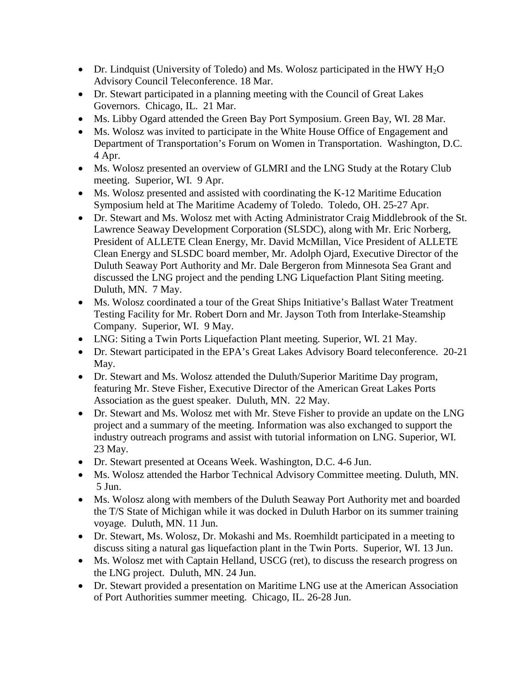- Dr. Lindquist (University of Toledo) and Ms. Wolosz participated in the HWY  $H_2O$ Advisory Council Teleconference. 18 Mar.
- Dr. Stewart participated in a planning meeting with the Council of Great Lakes Governors. Chicago, IL. 21 Mar.
- Ms. Libby Ogard attended the Green Bay Port Symposium. Green Bay, WI. 28 Mar.
- Ms. Wolosz was invited to participate in the White House Office of Engagement and Department of Transportation's Forum on Women in Transportation. Washington, D.C. 4 Apr.
- Ms. Wolosz presented an overview of GLMRI and the LNG Study at the Rotary Club meeting. Superior, WI. 9 Apr.
- Ms. Wolosz presented and assisted with coordinating the K-12 Maritime Education Symposium held at The Maritime Academy of Toledo. Toledo, OH. 25-27 Apr.
- Dr. Stewart and Ms. Wolosz met with Acting Administrator Craig Middlebrook of the St. Lawrence Seaway Development Corporation (SLSDC), along with Mr. Eric Norberg, President of ALLETE Clean Energy, Mr. David McMillan, Vice President of ALLETE Clean Energy and SLSDC board member, Mr. Adolph Ojard, Executive Director of the Duluth Seaway Port Authority and Mr. Dale Bergeron from Minnesota Sea Grant and discussed the LNG project and the pending LNG Liquefaction Plant Siting meeting. Duluth, MN. 7 May.
- Ms. Wolosz coordinated a tour of the Great Ships Initiative's Ballast Water Treatment Testing Facility for Mr. Robert Dorn and Mr. Jayson Toth from Interlake-Steamship Company. Superior, WI. 9 May.
- LNG: Siting a Twin Ports Liquefaction Plant meeting. Superior, WI. 21 May.
- Dr. Stewart participated in the EPA's Great Lakes Advisory Board teleconference. 20-21 May.
- Dr. Stewart and Ms. Wolosz attended the Duluth/Superior Maritime Day program, featuring Mr. Steve Fisher, Executive Director of the American Great Lakes Ports Association as the guest speaker. Duluth, MN. 22 May.
- Dr. Stewart and Ms. Wolosz met with Mr. Steve Fisher to provide an update on the LNG project and a summary of the meeting. Information was also exchanged to support the industry outreach programs and assist with tutorial information on LNG. Superior, WI. 23 May.
- Dr. Stewart presented at Oceans Week. Washington, D.C. 4-6 Jun.
- Ms. Wolosz attended the Harbor Technical Advisory Committee meeting. Duluth, MN. 5 Jun.
- Ms. Wolosz along with members of the Duluth Seaway Port Authority met and boarded the T/S State of Michigan while it was docked in Duluth Harbor on its summer training voyage. Duluth, MN. 11 Jun.
- Dr. Stewart, Ms. Wolosz, Dr. Mokashi and Ms. Roemhildt participated in a meeting to discuss siting a natural gas liquefaction plant in the Twin Ports. Superior, WI. 13 Jun.
- Ms. Wolosz met with Captain Helland, USCG (ret), to discuss the research progress on the LNG project. Duluth, MN. 24 Jun.
- Dr. Stewart provided a presentation on Maritime LNG use at the American Association of Port Authorities summer meeting. Chicago, IL. 26-28 Jun.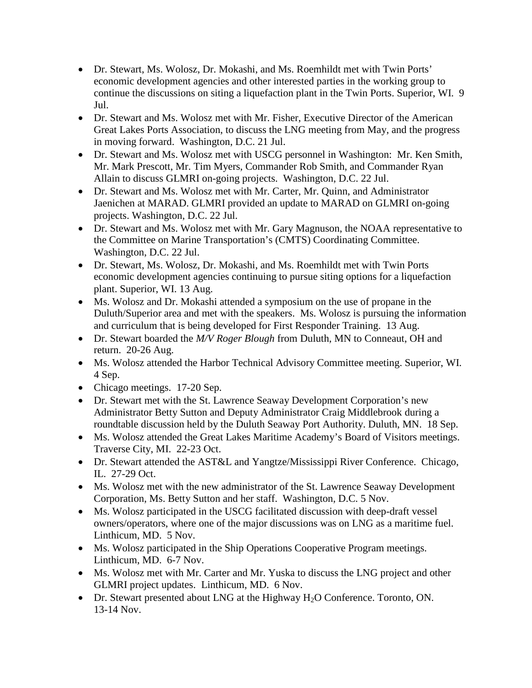- Dr. Stewart, Ms. Wolosz, Dr. Mokashi, and Ms. Roemhildt met with Twin Ports' economic development agencies and other interested parties in the working group to continue the discussions on siting a liquefaction plant in the Twin Ports. Superior, WI. 9 Jul.
- Dr. Stewart and Ms. Wolosz met with Mr. Fisher, Executive Director of the American Great Lakes Ports Association, to discuss the LNG meeting from May, and the progress in moving forward. Washington, D.C. 21 Jul.
- Dr. Stewart and Ms. Wolosz met with USCG personnel in Washington: Mr. Ken Smith, Mr. Mark Prescott, Mr. Tim Myers, Commander Rob Smith, and Commander Ryan Allain to discuss GLMRI on-going projects. Washington, D.C. 22 Jul.
- Dr. Stewart and Ms. Wolosz met with Mr. Carter, Mr. Quinn, and Administrator Jaenichen at MARAD. GLMRI provided an update to MARAD on GLMRI on-going projects. Washington, D.C. 22 Jul.
- Dr. Stewart and Ms. Wolosz met with Mr. Gary Magnuson, the NOAA representative to the Committee on Marine Transportation's (CMTS) Coordinating Committee. Washington, D.C. 22 Jul.
- Dr. Stewart, Ms. Wolosz, Dr. Mokashi, and Ms. Roemhildt met with Twin Ports economic development agencies continuing to pursue siting options for a liquefaction plant. Superior, WI. 13 Aug.
- Ms. Wolosz and Dr. Mokashi attended a symposium on the use of propane in the Duluth/Superior area and met with the speakers. Ms. Wolosz is pursuing the information and curriculum that is being developed for First Responder Training. 13 Aug.
- Dr. Stewart boarded the *M/V Roger Blough* from Duluth, MN to Conneaut, OH and return. 20-26 Aug.
- Ms. Wolosz attended the Harbor Technical Advisory Committee meeting. Superior, WI. 4 Sep.
- Chicago meetings. 17-20 Sep.
- Dr. Stewart met with the St. Lawrence Seaway Development Corporation's new Administrator Betty Sutton and Deputy Administrator Craig Middlebrook during a roundtable discussion held by the Duluth Seaway Port Authority. Duluth, MN. 18 Sep.
- Ms. Wolosz attended the Great Lakes Maritime Academy's Board of Visitors meetings. Traverse City, MI. 22-23 Oct.
- Dr. Stewart attended the AST&L and Yangtze/Mississippi River Conference. Chicago, IL. 27-29 Oct.
- Ms. Wolosz met with the new administrator of the St. Lawrence Seaway Development Corporation, Ms. Betty Sutton and her staff. Washington, D.C. 5 Nov.
- Ms. Wolosz participated in the USCG facilitated discussion with deep-draft vessel owners/operators, where one of the major discussions was on LNG as a maritime fuel. Linthicum, MD. 5 Nov.
- Ms. Wolosz participated in the Ship Operations Cooperative Program meetings. Linthicum, MD. 6-7 Nov.
- Ms. Wolosz met with Mr. Carter and Mr. Yuska to discuss the LNG project and other GLMRI project updates. Linthicum, MD. 6 Nov.
- Dr. Stewart presented about LNG at the Highway H<sub>2</sub>O Conference. Toronto, ON. 13-14 Nov.